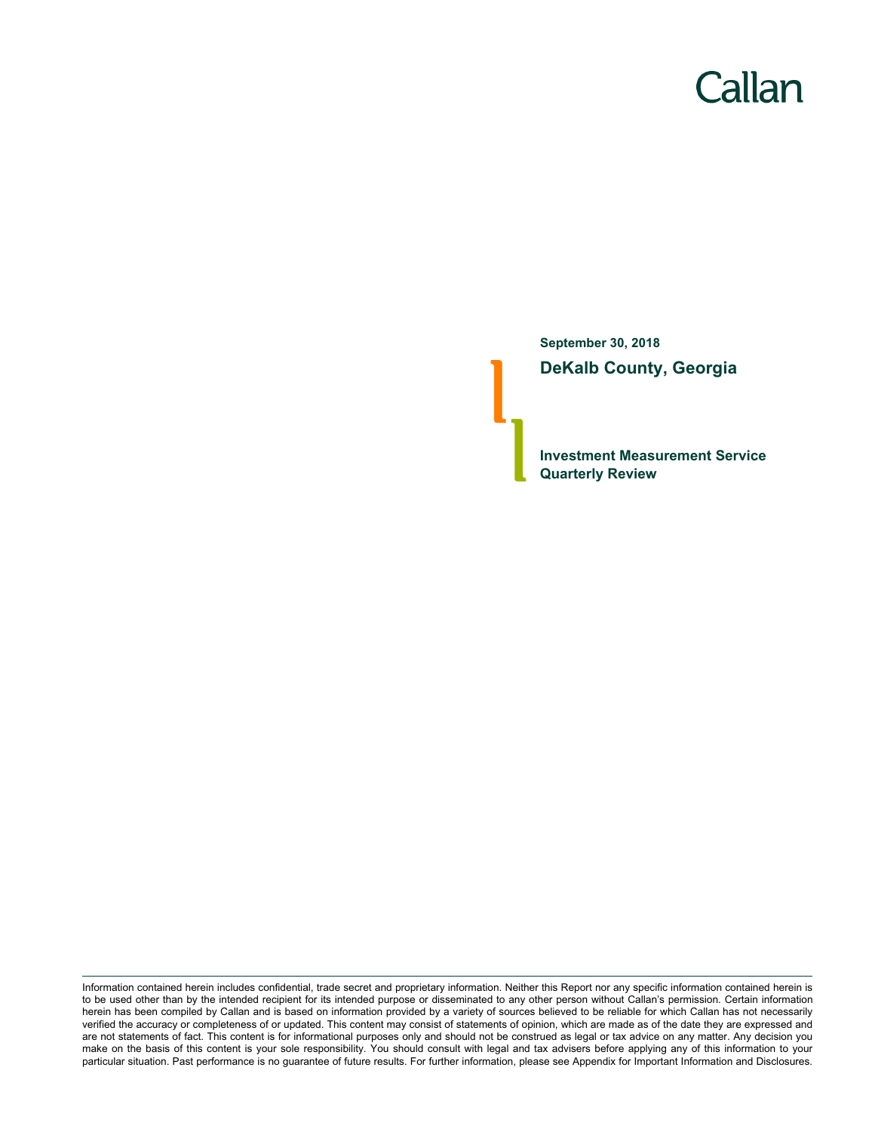# Callan

**September 30, 2018 DeKalb County, Georgia**

**Investment Measurement Service Quarterly Review**

Information contained herein includes confidential, trade secret and proprietary information. Neither this Report nor any specific information contained herein is to be used other than by the intended recipient for its intended purpose or disseminated to any other person without Callan's permission. Certain information herein has been compiled by Callan and is based on information provided by a variety of sources believed to be reliable for which Callan has not necessarily verified the accuracy or completeness of or updated. This content may consist of statements of opinion, which are made as of the date they are expressed and are not statements of fact. This content is for informational purposes only and should not be construed as legal or tax advice on any matter. Any decision you make on the basis of this content is your sole responsibility. You should consult with legal and tax advisers before applying any of this information to your particular situation. Past performance is no guarantee of future results. For further information, please see Appendix for Important Information and Disclosures.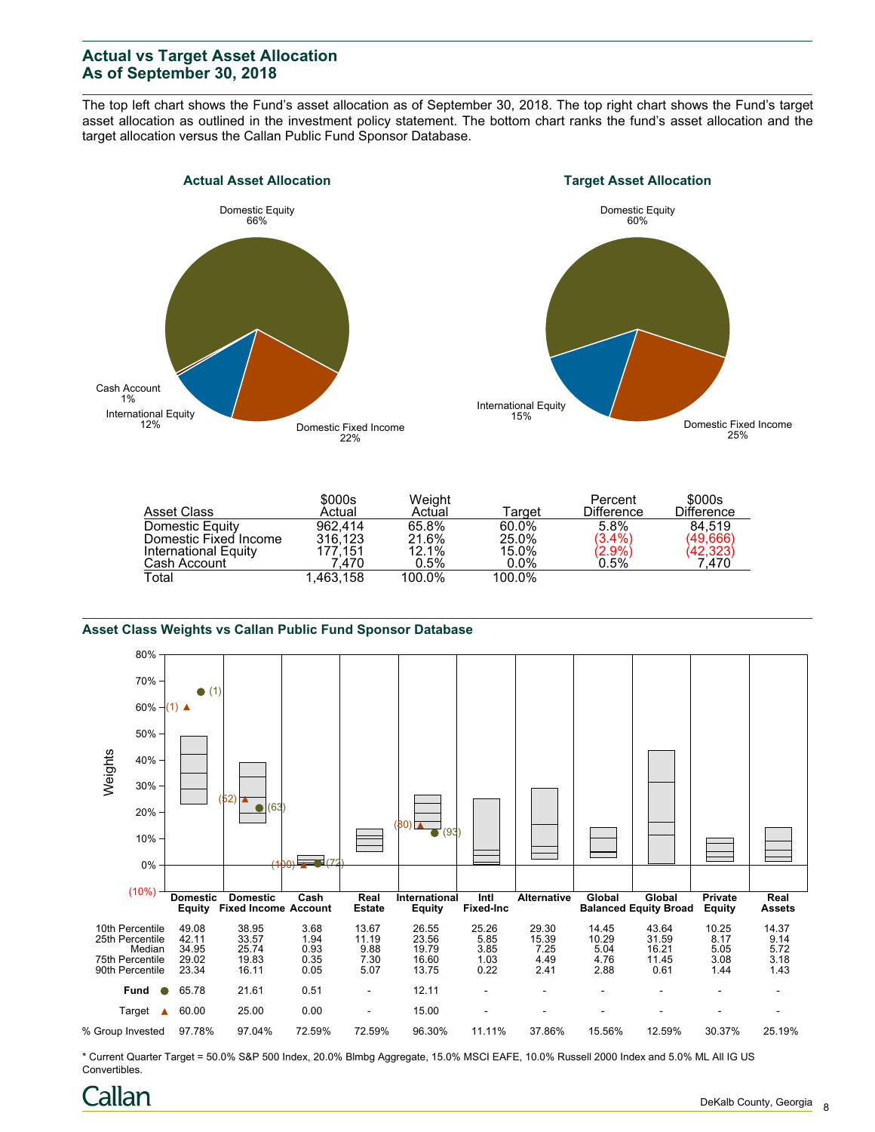# **Actual vs Target Asset Allocation As of September 30, 2018**

The top left chart shows the Fund's asset allocation as of September 30, 2018. The top right chart shows the Fund's target asset allocation as outlined in the investment policy statement. The bottom chart ranks the fund's asset allocation and the target allocation versus the Callan Public Fund Sponsor Database.



| Asset Class           | \$000s<br>Actual | Weight<br>Actual | ™arqet  | Percent<br><b>Difference</b>  | \$000s<br><b>Difference</b> |
|-----------------------|------------------|------------------|---------|-------------------------------|-----------------------------|
| Domestic Equity       | 962.414          | 65.8%            | 60.0%   | 5.8%                          | 84.519                      |
| Domestic Fixed Income | 316.123          | 21.6%            | 25.0%   | (3.4%)                        | (49,666)                    |
| International Equity  | 177.151          | 12.1%            | 15.0%   | $\langle 2.9\% \rangle 0.5\%$ | (42,323)<br>7,470           |
| Cash Account          | .470             | 0.5%             | $0.0\%$ |                               |                             |
| Total                 | 1.463.158        | 100.0%           | 100.0%  |                               |                             |

#### **Asset Class Weights vs Callan Public Fund Sponsor Database**



\* Current Quarter Target = 50.0% S&P 500 Index, 20.0% Blmbg Aggregate, 15.0% MSCI EAFE, 10.0% Russell 2000 Index and 5.0% ML All IG US Convertibles.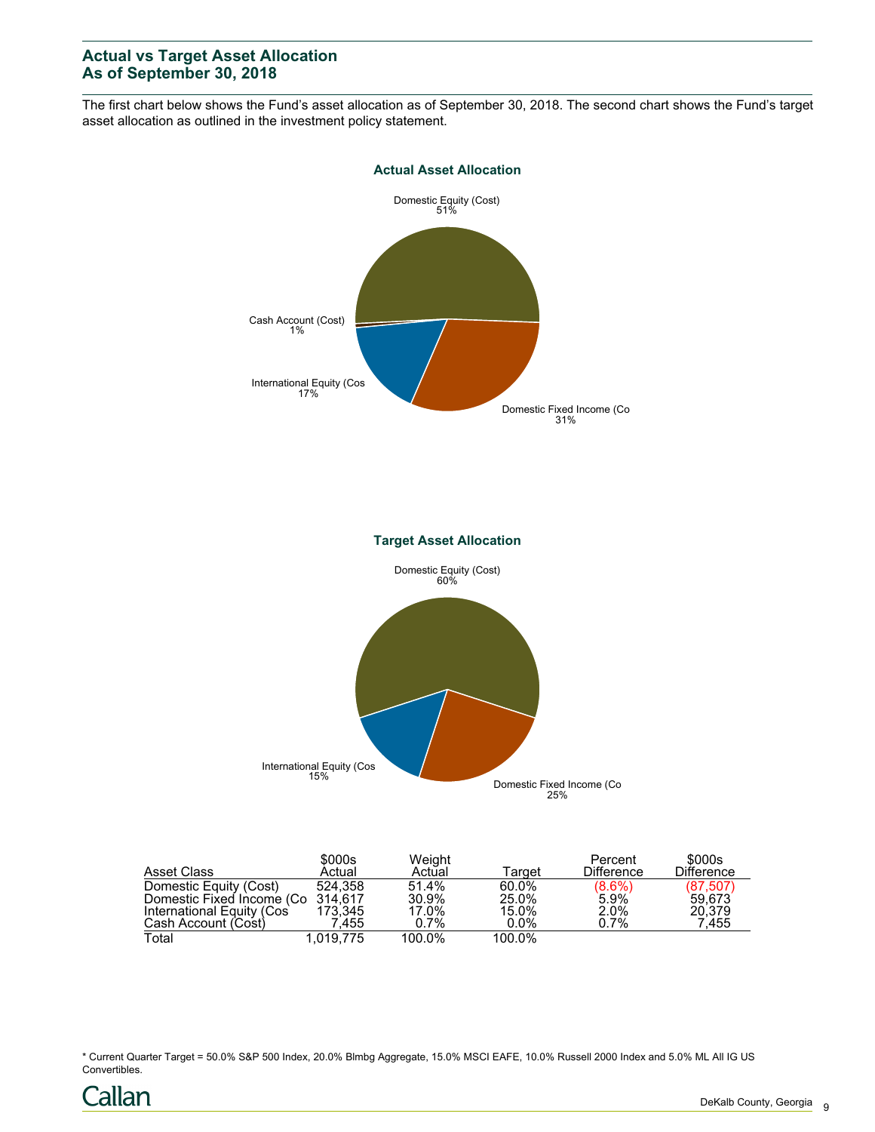# **Actual vs Target Asset Allocation As of September 30, 2018**

The first chart below shows the Fund's asset allocation as of September 30, 2018. The second chart shows the Fund's target asset allocation as outlined in the investment policy statement.



| Asset Class                       | \$000s<br>Actual | Weight<br>Actual | Target  | Percent<br><b>Difference</b> | \$000s<br><b>Difference</b> |
|-----------------------------------|------------------|------------------|---------|------------------------------|-----------------------------|
| Domestic Equity (Cost)            | 524.358          | 51.4%            | 60.0%   |                              | (87, 507)                   |
| Domestic Fixed Income (Co 314,617 |                  | 30.9%            | 25.0%   | $(8.6%)$<br>5.9%             | 59.673                      |
| International Equity (Cos         | 173.345          | 17.0%            | 15.0%   | 2.0%                         | 20.379                      |
| Cash Account (Cost)               | 7.455            | $0.7\%$          | $0.0\%$ | 0.7%                         | 7.455                       |
| Total                             | 1.019.775        | 100.0%           | 100.0%  |                              |                             |

\* Current Quarter Target = 50.0% S&P 500 Index, 20.0% Blmbg Aggregate, 15.0% MSCI EAFE, 10.0% Russell 2000 Index and 5.0% ML All IG US Convertibles.

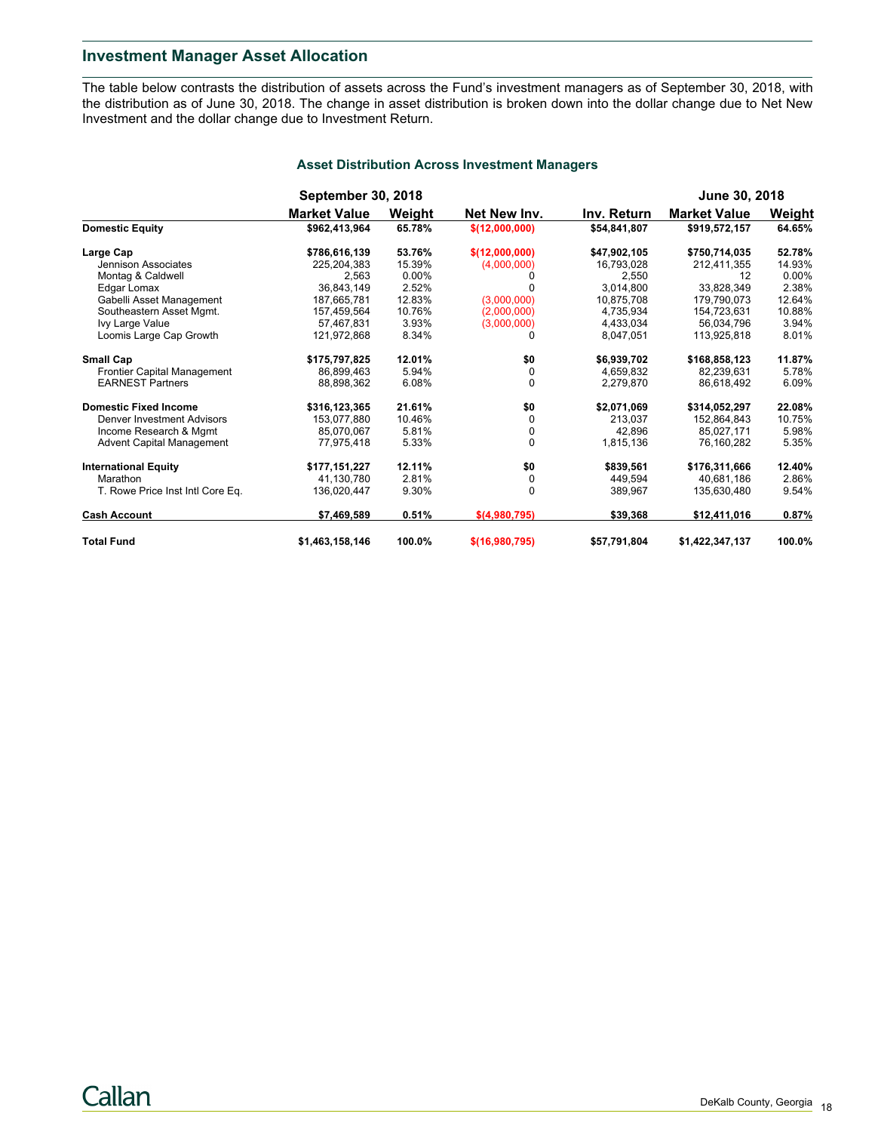## **Investment Manager Asset Allocation**

The table below contrasts the distribution of assets across the Fund's investment managers as of September 30, 2018, with the distribution as of June 30, 2018. The change in asset distribution is broken down into the dollar change due to Net New Investment and the dollar change due to Investment Return.

|                                  | <b>September 30, 2018</b> |          |                |              | June 30, 2018       |        |
|----------------------------------|---------------------------|----------|----------------|--------------|---------------------|--------|
|                                  | <b>Market Value</b>       | Weight   | Net New Inv.   | Inv. Return  | <b>Market Value</b> | Weight |
| <b>Domestic Equity</b>           | \$962,413,964             | 65.78%   | \$(12,000,000) | \$54,841,807 | \$919,572,157       | 64.65% |
| Large Cap                        | \$786,616,139             | 53.76%   | \$(12,000,000) | \$47,902,105 | \$750,714,035       | 52.78% |
| Jennison Associates              | 225,204,383               | 15.39%   | (4,000,000)    | 16,793,028   | 212,411,355         | 14.93% |
| Montag & Caldwell                | 2,563                     | $0.00\%$ |                | 2,550        | 12                  | 0.00%  |
| Edgar Lomax                      | 36,843,149                | 2.52%    |                | 3.014.800    | 33,828,349          | 2.38%  |
| Gabelli Asset Management         | 187,665,781               | 12.83%   | (3,000,000)    | 10.875.708   | 179,790,073         | 12.64% |
| Southeastern Asset Mgmt.         | 157,459,564               | 10.76%   | (2,000,000)    | 4,735,934    | 154,723,631         | 10.88% |
| Ivy Large Value                  | 57,467,831                | 3.93%    | (3,000,000)    | 4,433,034    | 56.034.796          | 3.94%  |
| Loomis Large Cap Growth          | 121,972,868               | 8.34%    |                | 8.047.051    | 113,925,818         | 8.01%  |
| <b>Small Cap</b>                 | \$175,797,825             | 12.01%   | \$0            | \$6,939,702  | \$168,858,123       | 11.87% |
| Frontier Capital Management      | 86.899.463                | 5.94%    | 0              | 4,659,832    | 82,239,631          | 5.78%  |
| <b>EARNEST Partners</b>          | 88.898.362                | 6.08%    | $\Omega$       | 2.279.870    | 86.618.492          | 6.09%  |
| <b>Domestic Fixed Income</b>     | \$316,123,365             | 21.61%   | \$0            | \$2,071,069  | \$314,052,297       | 22.08% |
| Denver Investment Advisors       | 153.077.880               | 10.46%   | $\Omega$       | 213.037      | 152.864.843         | 10.75% |
| Income Research & Mgmt           | 85,070,067                | 5.81%    | 0              | 42,896       | 85,027,171          | 5.98%  |
| <b>Advent Capital Management</b> | 77,975,418                | 5.33%    | $\Omega$       | 1,815,136    | 76,160,282          | 5.35%  |
| <b>International Equity</b>      | \$177,151,227             | 12.11%   | \$0            | \$839,561    | \$176,311,666       | 12.40% |
| Marathon                         | 41,130,780                | 2.81%    | 0              | 449,594      | 40,681,186          | 2.86%  |
| T. Rowe Price Inst Intl Core Eq. | 136,020,447               | 9.30%    | $\Omega$       | 389,967      | 135,630,480         | 9.54%  |
| <b>Cash Account</b>              | \$7,469,589               | 0.51%    | \$(4.980.795)  | \$39,368     | \$12,411,016        | 0.87%  |
| <b>Total Fund</b>                | \$1,463,158,146           | 100.0%   | \$(16,980,795) | \$57,791,804 | \$1,422,347,137     | 100.0% |

### **Asset Distribution Across Investment Managers**

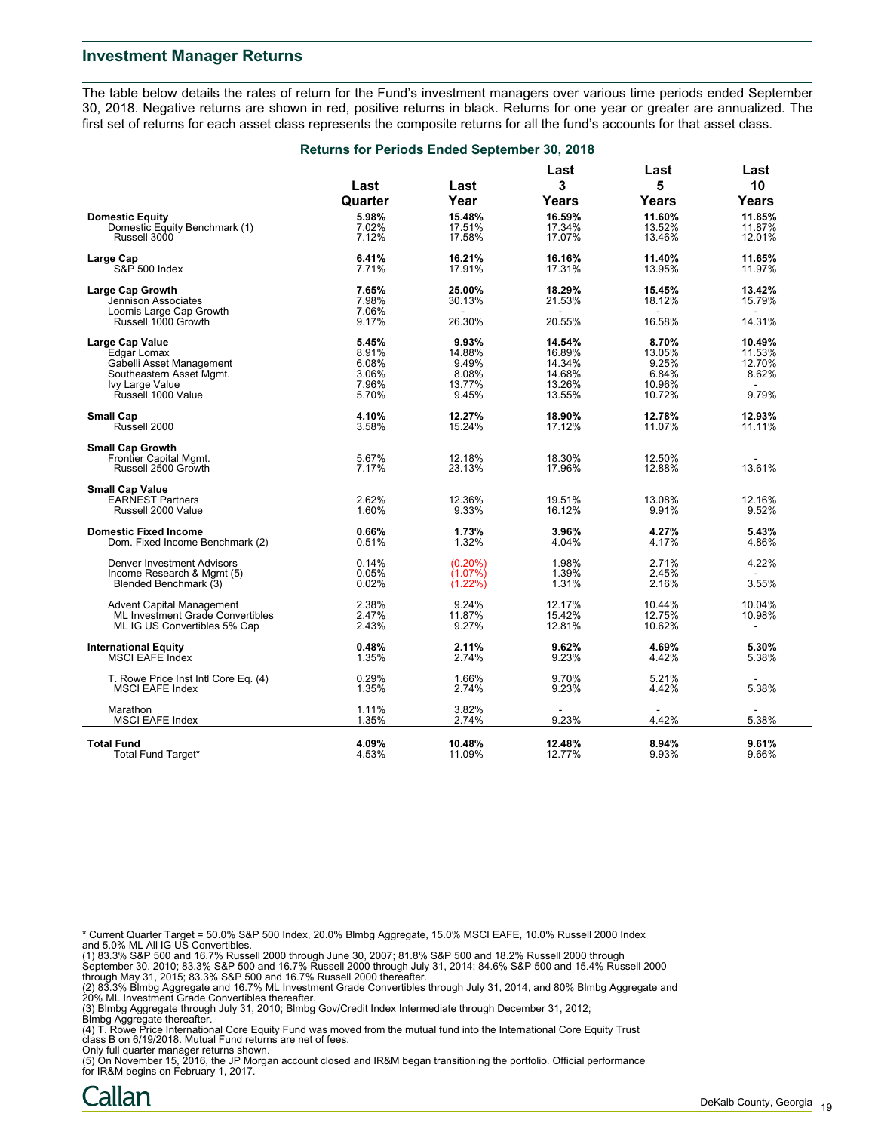#### **Investment Manager Returns**

The table below details the rates of return for the Fund's investment managers over various time periods ended September 30, 2018. Negative returns are shown in red, positive returns in black. Returns for one year or greater are annualized. The first set of returns for each asset class represents the composite returns for all the fund's accounts for that asset class.

|                                                   | <b>Returns for Periods Ended September 30, 2018</b> |                  |                  |                  |                  |  |
|---------------------------------------------------|-----------------------------------------------------|------------------|------------------|------------------|------------------|--|
|                                                   |                                                     |                  | Last             | Last             | Last             |  |
|                                                   | Last                                                | Last             | 3                | 5                | 10               |  |
|                                                   | Quarter                                             | Year             | Years            | Years            | Years            |  |
| <b>Domestic Equity</b>                            | 5.98%                                               | 15.48%           | 16.59%           | 11.60%           | 11.85%           |  |
| Domestic Equity Benchmark (1)                     | 7.02%                                               | 17.51%           | 17.34%           | 13.52%           | 11.87%           |  |
| Russell 3000                                      | 7.12%                                               | 17.58%           | 17.07%           | 13.46%           | 12.01%           |  |
|                                                   |                                                     |                  |                  |                  |                  |  |
| Large Cap<br><b>S&amp;P 500 Index</b>             | 6.41%<br>7.71%                                      | 16.21%<br>17.91% | 16.16%<br>17.31% | 11.40%<br>13.95% | 11.65%<br>11.97% |  |
|                                                   |                                                     |                  |                  |                  |                  |  |
| Large Cap Growth                                  | 7.65%                                               | 25.00%           | 18.29%           | 15.45%           | 13.42%           |  |
| Jennison Associates                               | 7.98%                                               | 30.13%           | 21.53%           | 18.12%           | 15.79%           |  |
| Loomis Large Cap Growth                           | 7.06%                                               |                  |                  |                  |                  |  |
| Russell 1000 Growth                               | 9.17%                                               | 26.30%           | 20.55%           | 16.58%           | 14.31%           |  |
| Large Cap Value                                   | 5.45%                                               | 9.93%            | 14.54%           | 8.70%            | 10.49%           |  |
| Edgar Lomax                                       | 8.91%                                               | 14.88%           | 16.89%           | 13.05%           | 11.53%           |  |
| Gabelli Asset Management                          | 6.08%                                               | 9.49%            | 14.34%           | 9.25%            | 12.70%           |  |
| Southeastern Asset Mgmt.                          | 3.06%                                               | 8.08%            | 14.68%           | 6.84%            | 8.62%            |  |
| Ivy Large Value                                   | 7.96%                                               | 13.77%           | 13.26%           | 10.96%           |                  |  |
|                                                   |                                                     |                  |                  |                  |                  |  |
| Russell 1000 Value                                | 5.70%                                               | 9.45%            | 13.55%           | 10.72%           | 9.79%            |  |
| <b>Small Cap</b>                                  | 4.10%                                               | 12.27%           | 18.90%           | 12.78%           | 12.93%           |  |
| Russell 2000                                      | 3.58%                                               | 15.24%           | 17.12%           | 11.07%           | 11.11%           |  |
| <b>Small Cap Growth</b>                           |                                                     |                  |                  |                  |                  |  |
| Frontier Capital Mgmt.                            | 5.67%                                               | 12.18%           | 18.30%           | 12.50%           |                  |  |
| Russell 2500 Growth                               | 7.17%                                               | 23.13%           | 17.96%           | 12.88%           | 13.61%           |  |
|                                                   |                                                     |                  |                  |                  |                  |  |
| <b>Small Cap Value</b><br><b>EARNEST Partners</b> | 2.62%                                               | 12.36%           | 19.51%           | 13.08%           | 12.16%           |  |
| Russell 2000 Value                                | 1.60%                                               | 9.33%            | 16.12%           | 9.91%            | 9.52%            |  |
|                                                   |                                                     |                  |                  |                  |                  |  |
| <b>Domestic Fixed Income</b>                      | 0.66%                                               | 1.73%            | 3.96%            | 4.27%            | 5.43%            |  |
| Dom. Fixed Income Benchmark (2)                   | 0.51%                                               | 1.32%            | 4.04%            | 4.17%            | 4.86%            |  |
| Denver Investment Advisors                        | 0.14%                                               | $(0.20\%)$       | 1.98%            | 2.71%            | 4.22%            |  |
| Income Research & Mgmt (5)                        | 0.05%                                               | (1.07%)          | 1.39%            | 2.45%            | $\blacksquare$   |  |
| Blended Benchmark (3)                             | 0.02%                                               | (1.22%)          | 1.31%            | 2.16%            | 3.55%            |  |
|                                                   |                                                     |                  |                  |                  |                  |  |
| Advent Capital Management                         | 2.38%                                               | 9.24%            | 12.17%           | 10.44%           | 10.04%           |  |
| ML Investment Grade Convertibles                  | 2.47%                                               | 11.87%           | 15.42%           | 12.75%           | 10.98%           |  |
| ML IG US Convertibles 5% Cap                      | 2.43%                                               | 9.27%            | 12.81%           | 10.62%           |                  |  |
| <b>International Equity</b>                       | 0.48%                                               | 2.11%            | 9.62%            | 4.69%            | 5.30%            |  |
| <b>MSCI EAFE Index</b>                            | 1.35%                                               | 2.74%            | 9.23%            | 4.42%            | 5.38%            |  |
|                                                   |                                                     |                  |                  |                  |                  |  |
| T. Rowe Price Inst Intl Core Eq. (4)              | 0.29%                                               | 1.66%            | 9.70%            | 5.21%            |                  |  |
| <b>MSCI EAFE Index</b>                            | 1.35%                                               | 2.74%            | 9.23%            | 4.42%            | 5.38%            |  |
| Marathon                                          | 1.11%                                               | 3.82%            |                  |                  |                  |  |
| <b>MSCI EAFE Index</b>                            | 1.35%                                               | 2.74%            | 9.23%            | 4.42%            | 5.38%            |  |
|                                                   |                                                     |                  |                  |                  |                  |  |
| <b>Total Fund</b>                                 | 4.09%                                               | 10.48%           | 12.48%           | 8.94%            | 9.61%            |  |
| Total Fund Target*                                | 4.53%                                               | 11.09%           | 12.77%           | 9.93%            | 9.66%            |  |

\* Current Quarter Target = 50.0% S&P 500 Index, 20.0% Blmbg Aggregate, 15.0% MSCI EAFE, 10.0% Russell 2000 Index

and 5.0% ML All IG US Convertibles.<br>(1) 83.3% S&P 500 and 16.7% Russell 2000 through June 30, 2007; 81.8% S&P 500 and 18.2% Russell 2000 through<br>September 30, 2010; 83.3% S&P 500 and 16.7% Russell 2000 through July 31, 201

(2) 83.3% Blmbg Aggregate and 16.7% ML Investment Grade Convertibles through July 31, 2014, and 80% Blmbg Aggregate and 20% ML Investment Grade Convertibles thereafter.

(3) Blmbg Aggregate through July 31, 2010; Blmbg Gov/Credit Index Intermediate through December 31, 2012; Blmbg Aggregate thereafter.

(4) T. Rowe Price International Core Equity Fund was moved from the mutual fund into the International Core Equity Trust

class B on 6/19/2018. Mutual Fund returns are net of fees.<br>Only full quarter manager returns shown.<br>(5) On November 15, 2016, the JP Morgan account closed and IR&M began transitioning the portfolio. Official performance for IR&M begins on February 1, 2017.

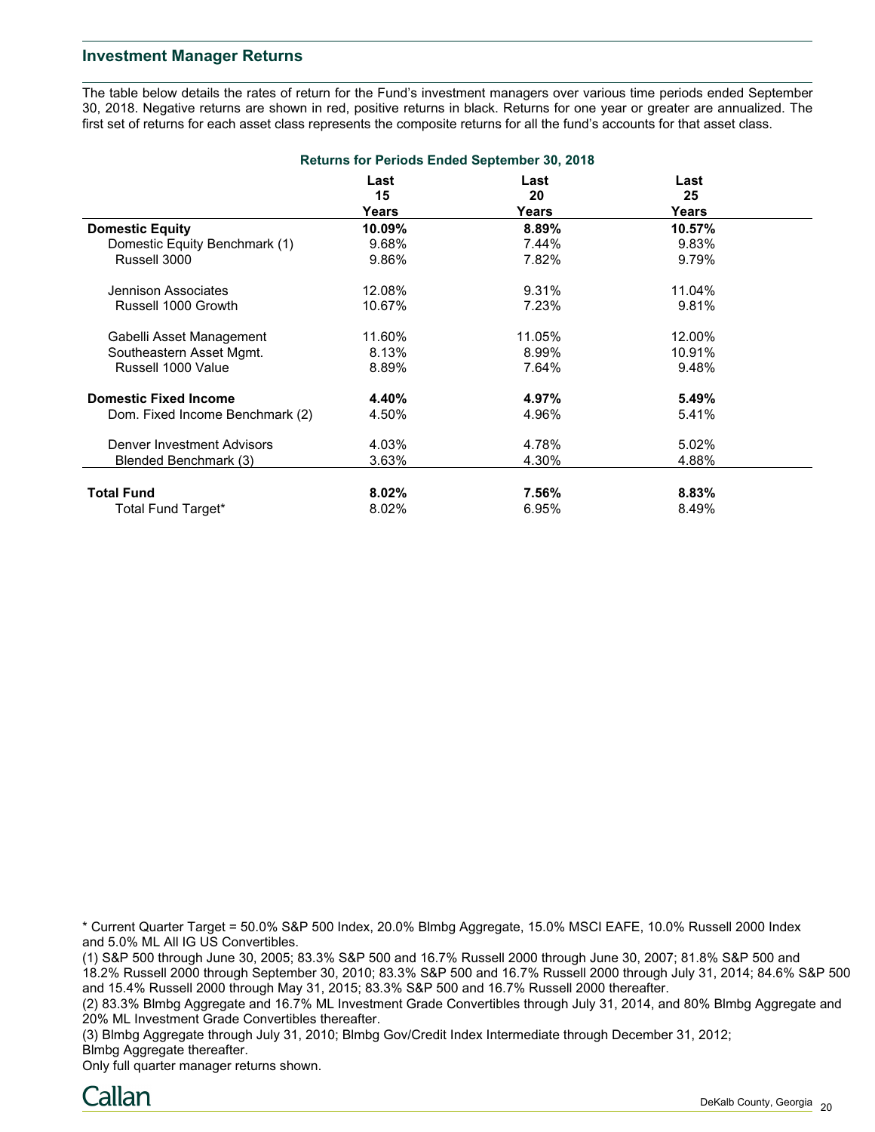## **Investment Manager Returns**

The table below details the rates of return for the Fund's investment managers over various time periods ended September 30, 2018. Negative returns are shown in red, positive returns in black. Returns for one year or greater are annualized. The first set of returns for each asset class represents the composite returns for all the fund's accounts for that asset class.

| <b>Returns for Periods Ended September 30, 2018</b> |                     |                     |                     |  |  |  |  |
|-----------------------------------------------------|---------------------|---------------------|---------------------|--|--|--|--|
|                                                     | Last<br>15<br>Years | Last<br>20<br>Years | Last<br>25<br>Years |  |  |  |  |
| <b>Domestic Equity</b>                              | 10.09%              | 8.89%               | 10.57%              |  |  |  |  |
| Domestic Equity Benchmark (1)                       | 9.68%               | 7.44%               | 9.83%               |  |  |  |  |
| Russell 3000                                        | 9.86%               | 7.82%               | 9.79%               |  |  |  |  |
| Jennison Associates                                 | 12.08%              | 9.31%               | 11.04%              |  |  |  |  |
| Russell 1000 Growth                                 | 10.67%              | 7.23%               | 9.81%               |  |  |  |  |
| Gabelli Asset Management                            | 11.60%              | 11.05%              | 12.00%              |  |  |  |  |
| Southeastern Asset Mgmt.                            | 8.13%               | 8.99%               | 10.91%              |  |  |  |  |
| Russell 1000 Value                                  | 8.89%               | 7.64%               | 9.48%               |  |  |  |  |
| <b>Domestic Fixed Income</b>                        | 4.40%               | 4.97%               | 5.49%               |  |  |  |  |
| Dom. Fixed Income Benchmark (2)                     | 4.50%               | 4.96%               | 5.41%               |  |  |  |  |
| <b>Denver Investment Advisors</b>                   | 4.03%               | 4.78%               | 5.02%               |  |  |  |  |
| Blended Benchmark (3)                               | 3.63%               | 4.30%               | 4.88%               |  |  |  |  |
| <b>Total Fund</b>                                   | $8.02\%$            | 7.56%               | 8.83%               |  |  |  |  |
| Total Fund Target*                                  | 8.02%               | 6.95%               | 8.49%               |  |  |  |  |

\* Current Quarter Target = 50.0% S&P 500 Index, 20.0% Blmbg Aggregate, 15.0% MSCI EAFE, 10.0% Russell 2000 Index and 5.0% ML All IG US Convertibles.

(1) S&P 500 through June 30, 2005; 83.3% S&P 500 and 16.7% Russell 2000 through June 30, 2007; 81.8% S&P 500 and 18.2% Russell 2000 through September 30, 2010; 83.3% S&P 500 and 16.7% Russell 2000 through July 31, 2014; 84.6% S&P 500 and 15.4% Russell 2000 through May 31, 2015; 83.3% S&P 500 and 16.7% Russell 2000 thereafter.

(2) 83.3% Blmbg Aggregate and 16.7% ML Investment Grade Convertibles through July 31, 2014, and 80% Blmbg Aggregate and 20% ML Investment Grade Convertibles thereafter.

(3) Blmbg Aggregate through July 31, 2010; Blmbg Gov/Credit Index Intermediate through December 31, 2012; Blmbg Aggregate thereafter.

Only full quarter manager returns shown.